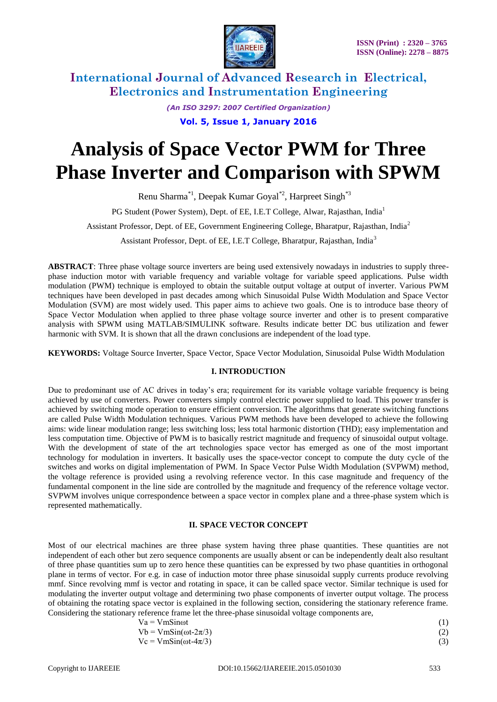

> *(An ISO 3297: 2007 Certified Organization)* **Vol. 5, Issue 1, January 2016**

# **Analysis of Space Vector PWM for Three Phase Inverter and Comparison with SPWM**

Renu Sharma\*1, Deepak Kumar Goyal\*2, Harpreet Singh\*3

PG Student (Power System), Dept. of EE, I.E.T College, Alwar, Rajasthan, India<sup>1</sup>

Assistant Professor, Dept. of EE, Government Engineering College, Bharatpur, Rajasthan, India<sup>2</sup>

Assistant Professor, Dept. of EE, I.E.T College, Bharatpur, Rajasthan, India<sup>3</sup>

**ABSTRACT**: Three phase voltage source inverters are being used extensively nowadays in industries to supply threephase induction motor with variable frequency and variable voltage for variable speed applications. Pulse width modulation (PWM) technique is employed to obtain the suitable output voltage at output of inverter. Various PWM techniques have been developed in past decades among which Sinusoidal Pulse Width Modulation and Space Vector Modulation (SVM) are most widely used. This paper aims to achieve two goals. One is to introduce base theory of Space Vector Modulation when applied to three phase voltage source inverter and other is to present comparative analysis with SPWM using MATLAB/SIMULINK software. Results indicate better DC bus utilization and fewer harmonic with SVM. It is shown that all the drawn conclusions are independent of the load type.

**KEYWORDS:** Voltage Source Inverter, Space Vector, Space Vector Modulation, Sinusoidal Pulse Width Modulation

#### **I. INTRODUCTION**

Due to predominant use of AC drives in today's era; requirement for its variable voltage variable frequency is being achieved by use of converters. Power converters simply control electric power supplied to load. This power transfer is achieved by switching mode operation to ensure efficient conversion. The algorithms that generate switching functions are called Pulse Width Modulation techniques. Various PWM methods have been developed to achieve the following aims: wide linear modulation range; less switching loss; less total harmonic distortion (THD); easy implementation and less computation time. Objective of PWM is to basically restrict magnitude and frequency of sinusoidal output voltage. With the development of state of the art technologies space vector has emerged as one of the most important technology for modulation in inverters. It basically uses the space-vector concept to compute the duty cycle of the switches and works on digital implementation of PWM. In Space Vector Pulse Width Modulation (SVPWM) method, the voltage reference is provided using a revolving reference vector. In this case magnitude and frequency of the fundamental component in the line side are controlled by the magnitude and frequency of the reference voltage vector. SVPWM involves unique correspondence between a space vector in complex plane and a three-phase system which is represented mathematically.

#### **II. SPACE VECTOR CONCEPT**

Most of our electrical machines are three phase system having three phase quantities. These quantities are not independent of each other but zero sequence components are usually absent or can be independently dealt also resultant of three phase quantities sum up to zero hence these quantities can be expressed by two phase quantities in orthogonal plane in terms of vector. For e.g. in case of induction motor three phase sinusoidal supply currents produce revolving mmf. Since revolving mmf is vector and rotating in space, it can be called space vector. Similar technique is used for modulating the inverter output voltage and determining two phase components of inverter output voltage. The process of obtaining the rotating space vector is explained in the following section, considering the stationary reference frame. Considering the stationary reference frame let the three-phase sinusoidal voltage components are,

| $Va = VmSin\omega t$            |  |  |  |
|---------------------------------|--|--|--|
| $Vb = VmSin(\omega t - 2\pi/3)$ |  |  |  |
| $Vc = VmSin(\omega t - 4\pi/3)$ |  |  |  |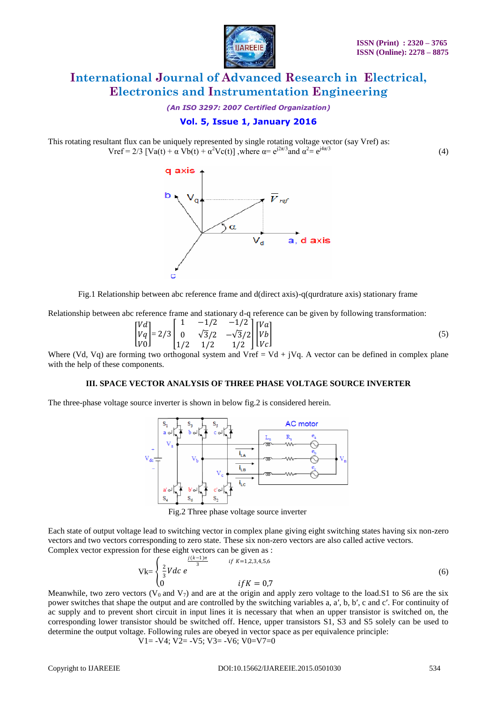

*(An ISO 3297: 2007 Certified Organization)*

### **Vol. 5, Issue 1, January 2016**

This rotating resultant flux can be uniquely represented by single rotating voltage vector (say Vref) as: Vref = 2/3 [Va(t) +  $\alpha$  Vb(t) +  $\alpha^2$ Vc(t)], where  $\alpha$  =  $e^{j2\pi/3}$  and  $\alpha^2$  =  $e^{j4\pi/3}$ (4)



Fig.1 Relationship between abc reference frame and d(direct axis)-q(qurdrature axis) stationary frame

Relationship between abc reference frame and stationary d-q reference can be given by following transformation:

$$
\begin{bmatrix} Vd \\ Vq \\ V0 \end{bmatrix} = 2/3 \begin{bmatrix} 1 & -1/2 & -1/2 \\ 0 & \sqrt{3}/2 & -\sqrt{3}/2 \\ 1/2 & 1/2 & 1/2 \end{bmatrix} \begin{bmatrix} Va \\ Vb \\ Vc \end{bmatrix}
$$
 (5)

Where (Vd, Vq) are forming two orthogonal system and Vref = Vd + jVq. A vector can be defined in complex plane with the help of these components.

#### **III. SPACE VECTOR ANALYSIS OF THREE PHASE VOLTAGE SOURCE INVERTER**

The three-phase voltage source inverter is shown in below fig.2 is considered herein.



Fig.2 Three phase voltage source inverter

Each state of output voltage lead to switching vector in complex plane giving eight switching states having six non-zero vectors and two vectors corresponding to zero state. These six non-zero vectors are also called active vectors. Complex vector expression for these eight vectors can be given as :

$$
Vk = \begin{cases} \frac{2}{3}Vdc \ e^{j(k-1)\pi} & \text{if } k=1,2,3,4,5,6\\ 0 & \text{if } K=0,7 \end{cases}
$$
(6)

Meanwhile, two zero vectors ( $V_0$  and  $V_7$ ) and are at the origin and apply zero voltage to the load.S1 to S6 are the six power switches that shape the output and are controlled by the switching variables a, a′, b, b′, c and c′. For continuity of ac supply and to prevent short circuit in input lines it is necessary that when an upper transistor is switched on, the corresponding lower transistor should be switched off. Hence, upper transistors S1, S3 and S5 solely can be used to determine the output voltage. Following rules are obeyed in vector space as per equivalence principle:

$$
V1 = -V4
$$
;  $V2 = -V5$ ;  $V3 = -V6$ ;  $V0=V7=0$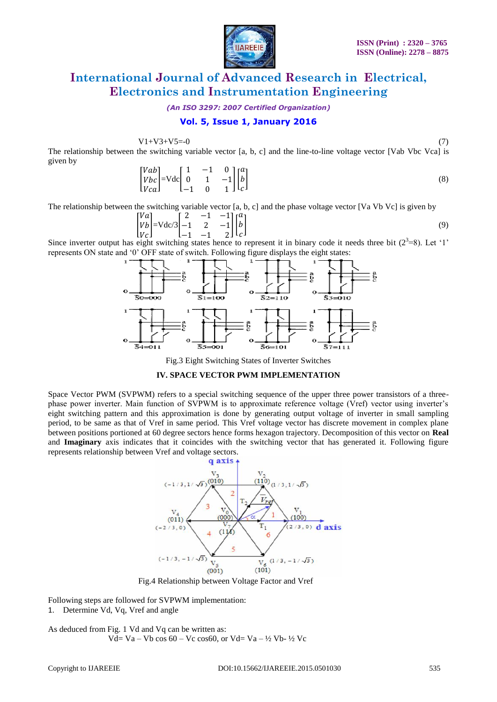

*(An ISO 3297: 2007 Certified Organization)*

### **Vol. 5, Issue 1, January 2016**

 $V1 + V3 + V5 = -0$  (7)

The relationship between the switching variable vector [a, b, c] and the line-to-line voltage vector [Vab Vbc Vca] is given by

$$
\begin{bmatrix}\nVab \\
Vbc \\
Vca\n\end{bmatrix} = \text{Vdc} \begin{bmatrix}\n1 & -1 & 0 \\
0 & 1 & -1 \\
-1 & 0 & 1\n\end{bmatrix} \begin{bmatrix}\na \\
b \\
c\n\end{bmatrix}
$$
\n(8)

The relationship between the switching variable vector [a, b, c] and the phase voltage vector [Va Vb Vc] is given by

$$
\begin{bmatrix} Va \\ Vb \\ Vc \end{bmatrix} = Vdc/3 \begin{bmatrix} 2 & -1 & -1 \\ -1 & 2 & -1 \\ -1 & -1 & 2 \end{bmatrix} \begin{bmatrix} a \\ b \\ c \end{bmatrix}
$$
 (9)

 $[V_C]$   $[-1 \t -1 \t 2]$   $[C]$ <br>Since inverter output has eight switching states hence to represent it in binary code it needs three bit (2<sup>3</sup>=8). Let '1' represents ON state and "0" OFF state of switch. Following figure displays the eight states:



Fig.3 Eight Switching States of Inverter Switches

#### **IV. SPACE VECTOR PWM IMPLEMENTATION**

Space Vector PWM (SVPWM) refers to a special switching sequence of the upper three power transistors of a threephase power inverter. Main function of SVPWM is to approximate reference voltage (Vref) vector using inverter"s eight switching pattern and this approximation is done by generating output voltage of inverter in small sampling period, to be same as that of Vref in same period. This Vref voltage vector has discrete movement in complex plane between positions portioned at 60 degree sectors hence forms hexagon trajectory. Decomposition of this vector on **Real**  and **Imaginary** axis indicates that it coincides with the switching vector that has generated it. Following figure represents relationship between Vref and voltage sectors.



Fig.4 Relationship between Voltage Factor and Vref

Following steps are followed for SVPWM implementation:

1. Determine Vd, Vq, Vref and angle

As deduced from Fig. 1 Vd and Vq can be written as: Vd= Va – Vb cos  $60 - Vc$  cos $60$ , or Vd= Va – ½ Vb- ½ Vc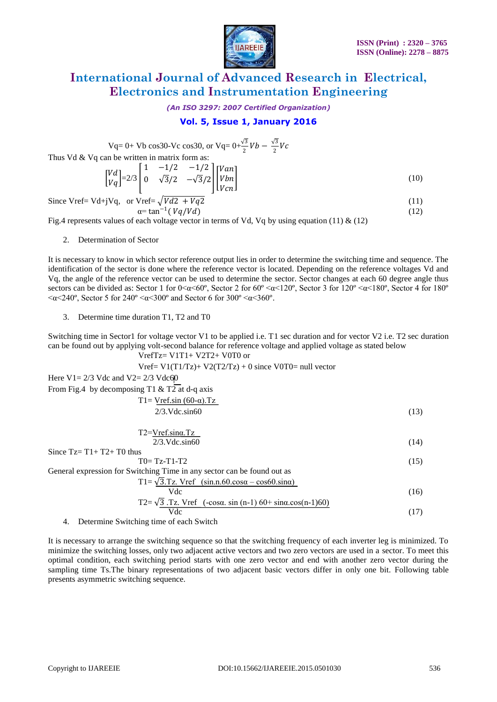

*(An ISO 3297: 2007 Certified Organization)*

### **Vol. 5, Issue 1, January 2016**

Vq= 0+ Vb cos30-Vc cos30, or Vq=  $0+\frac{\sqrt{3}}{2}Vb - \frac{\sqrt{3}}{2}$  $\frac{1}{2}Vc$ Thus Vd & Vq can be written in matrix form as: I  $[VA]$  $=2/3$ 1 −1/2 −1/2  $0 \sqrt{3}/2 -\sqrt{3}/2$ Van Vbn

$$
\begin{bmatrix} \sqrt{\alpha} \\ Vq \end{bmatrix} = 2/3 \begin{bmatrix} 0 & \sqrt{3}/2 & -\sqrt{3}/2 \\ 0 & \sqrt{3}/2 & -\sqrt{3}/2 \end{bmatrix} \begin{bmatrix} Vbn \\ Vcn \end{bmatrix}
$$
 (10)

Since Vref= Vd+jVq, or Vref=
$$
\sqrt{Vd2 + Vq2}
$$
  
\n $\alpha = \tan^{-1}(Vq/Vd)$  (12)

Fig.4 represents values of each voltage vector in terms of Vd, Vq by using equation (11) & (12)

2. Determination of Sector

It is necessary to know in which sector reference output lies in order to determine the switching time and sequence. The identification of the sector is done where the reference vector is located. Depending on the reference voltages Vd and Vq, the angle of the reference vector can be used to determine the sector. Sector changes at each 60 degree angle thus sectors can be divided as: Sector 1 for  $0<\alpha<60^{\circ}$ , Sector 2 for  $60^{\circ} < \alpha < 120^{\circ}$ , Sector 3 for  $120^{\circ} < \alpha < 180^{\circ}$ , Sector 4 for  $180^{\circ}$  $\langle \alpha \langle 240^\circ, \text{Sector } 5 \text{ for } 240^\circ \langle \alpha \langle 300^\circ \text{ and } \text{Sector } 6 \text{ for } 300^\circ \langle \alpha \langle 360^\circ \text{.} \rangle$ 

3. Determine time duration T1, T2 and T0

Switching time in Sector1 for voltage vector V1 to be applied i.e. T1 sec duration and for vector V2 i.e. T2 sec duration can be found out by applying volt-second balance for reference voltage and applied voltage as stated below  $VrefTz= V1T1+ V2T2+ V0T0$  or

$$
Vref = V1(T1/Tz) + V2(T2/Tz) + 0
$$
 since  $V0T0 = \text{null vector}$ 

Here  $V1 = 2/3$  Vdc and  $V2 = 2/3$  Vdc60

From Fig.4 by decomposing T1 & T2 at d-q axis

$$
T1 = Vref.\sin(60-\alpha).Tz
$$
  
2/3.Vdc.\sin60 (13)

$$
T2 = Vref.\sin\alpha \cdot Tz
$$
  
2/3.Vdc.\sin60 (14)

Since  $Tz = T1 + T2 + T0$  thus  $T0=Tz-T1-T2$  (15) General expression for Switching Time in any sector can be found out as  $T1 = \sqrt{3}$ .Tz. Vref (sin.n.60.cos $\alpha$  – cos60.sin $\alpha$ )  $Vdc$  (16)

$$
T2 = \sqrt{3} \cdot Tz. \text{ Vref } (-\cos\alpha, \sin(n-1) 60 + \sin\alpha \cdot \cos(n-1) 60)
$$
  
 
$$
Vdc \tag{17}
$$

4. Determine Switching time of each Switch

It is necessary to arrange the switching sequence so that the switching frequency of each inverter leg is minimized. To minimize the switching losses, only two adjacent active vectors and two zero vectors are used in a sector. To meet this optimal condition, each switching period starts with one zero vector and end with another zero vector during the sampling time Ts.The binary representations of two adjacent basic vectors differ in only one bit. Following table presents asymmetric switching sequence.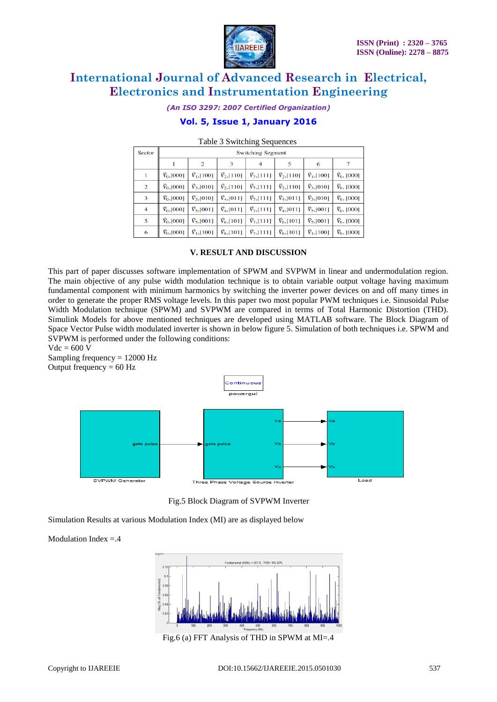

*(An ISO 3297: 2007 Certified Organization)*

### **Vol. 5, Issue 1, January 2016**

| Sector | <b>Switching Segment</b> |                     |                     |                     |                     |                     |                     |
|--------|--------------------------|---------------------|---------------------|---------------------|---------------------|---------------------|---------------------|
|        |                          | 2                   | 3                   | 4                   | 5                   | 6                   |                     |
| 1      | $\vec{V}_{0},$ [000]     | $\vec{V}_1$ , [100] | $\vec{V}_2$ , [110] | $\vec{V}_7$ , [111] | $\vec{V}_2$ , [110] | $\vec{V}_1$ ,[100]  | $\vec{V}_0$ , [000] |
| 2      | $V_0$ , [000]            | $\vec{V}_3$ , [010] | $\vec{V}_2$ , [110] | $\bar{V}_7$ , [111] | $V_2$ , [110]       | $\bar{V}_3$ , [010] | $V_0$ , [000]       |
| 3      | $\vec{V}_0$ , [000]      | $\vec{V}_3$ , [010] | $\vec{V}_4$ , [011] | $\vec{V}_7$ , [111] | $\vec{V}_4$ , [011] | $\vec{V}_3$ , [010] | $\vec{V}_0$ , [000] |
| 4      | $\vec{V}_0$ , [000]      | $\vec{V}_5$ , [001] | $\vec{V}_4$ , [011] | $\vec{V}_7$ , [111] | $\vec{V}_4$ , [011] | $\vec{V}_5$ , [001] | $\vec{V}_0$ , [000] |
| 5      | $V_0$ , [000]            | $\vec{V}_5$ , [001] | $\vec{V}_6$ ,[101]  | $\vec{V}_7$ , [111] | $V_{6}$ , [101]     | $\vec{V}_5$ , [001] | $V_0$ , [000]       |
| 6      | $\vec{V}_0$ , [000]      | $\vec{V}_1, [100]$  | $\vec{V}_6$ ,[101]  | $\vec{V}_7$ , [111] | $\vec{V}_6$ ,[101]  | $\vec{V}_1$ , [100] | $\vec{V}_0$ , [000] |

#### Table 3 Switching Sequences

#### **V. RESULT AND DISCUSSION**

This part of paper discusses software implementation of SPWM and SVPWM in linear and undermodulation region. The main objective of any pulse width modulation technique is to obtain variable output voltage having maximum fundamental component with minimum harmonics by switching the inverter power devices on and off many times in order to generate the proper RMS voltage levels. In this paper two most popular PWM techniques i.e. Sinusoidal Pulse Width Modulation technique (SPWM) and SVPWM are compared in terms of Total Harmonic Distortion (THD). Simulink Models for above mentioned techniques are developed using MATLAB software. The Block Diagram of Space Vector Pulse width modulated inverter is shown in below figure 5. Simulation of both techniques i.e. SPWM and SVPWM is performed under the following conditions:

 $Vdc = 600 V$ 

Sampling frequency  $= 12000$  Hz Output frequency  $= 60$  Hz



Fig.5 Block Diagram of SVPWM Inverter

Simulation Results at various Modulation Index (MI) are as displayed below

Modulation Index  $= .4$ 



Fig.6 (a) FFT Analysis of THD in SPWM at MI=.4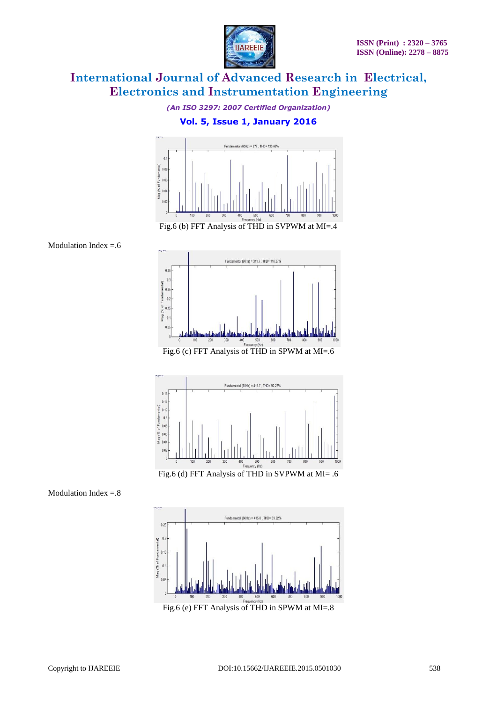

*(An ISO 3297: 2007 Certified Organization)*

### **Vol. 5, Issue 1, January 2016**



Fig.6 (b) FFT Analysis of THD in SVPWM at MI=.4

![](_page_5_Figure_7.jpeg)

![](_page_5_Figure_8.jpeg)

![](_page_5_Figure_9.jpeg)

Fig.6 (d) FFT Analysis of THD in SVPWM at MI= .6

Modulation Index  $=.8$ 

![](_page_5_Figure_12.jpeg)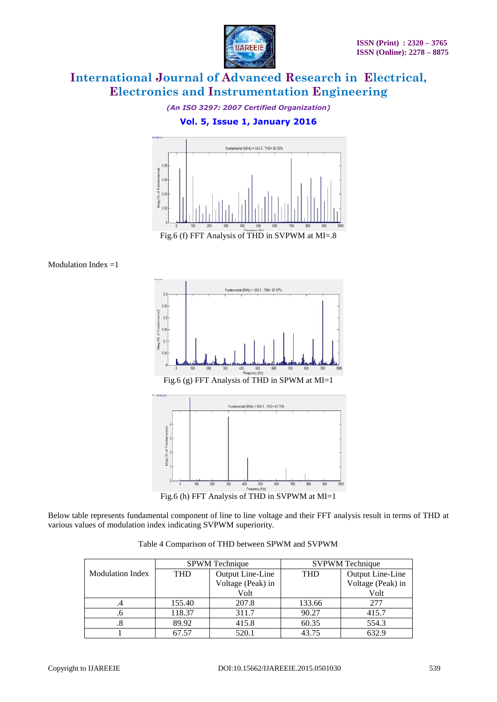![](_page_6_Picture_1.jpeg)

*(An ISO 3297: 2007 Certified Organization)*

### **Vol. 5, Issue 1, January 2016**

![](_page_6_Figure_5.jpeg)

Modulation Index  $=1$ 

![](_page_6_Figure_7.jpeg)

Fig.6 (h) FFT Analysis of THD in SVPWM at MI=1

Below table represents fundamental component of line to line voltage and their FFT analysis result in terms of THD at various values of modulation index indicating SVPWM superiority.

|  | Table 4 Comparison of THD between SPWM and SVPWM |
|--|--------------------------------------------------|
|--|--------------------------------------------------|

|                         |        | <b>SPWM</b> Technique |            | <b>SVPWM</b> Technique |  |  |
|-------------------------|--------|-----------------------|------------|------------------------|--|--|
| <b>Modulation Index</b> | THD    | Output Line-Line      | <b>THD</b> | Output Line-Line       |  |  |
|                         |        | Voltage (Peak) in     |            | Voltage (Peak) in      |  |  |
|                         |        | Volt                  |            | Volt                   |  |  |
| .4                      | 155.40 | 207.8                 | 133.66     | 277                    |  |  |
| .6                      | 118.37 | 311.7                 | 90.27      | 415.7                  |  |  |
| .8                      | 89.92  | 415.8                 | 60.35      | 554.3                  |  |  |
|                         | 67.57  | 520.1                 | 43.75      | 632.9                  |  |  |